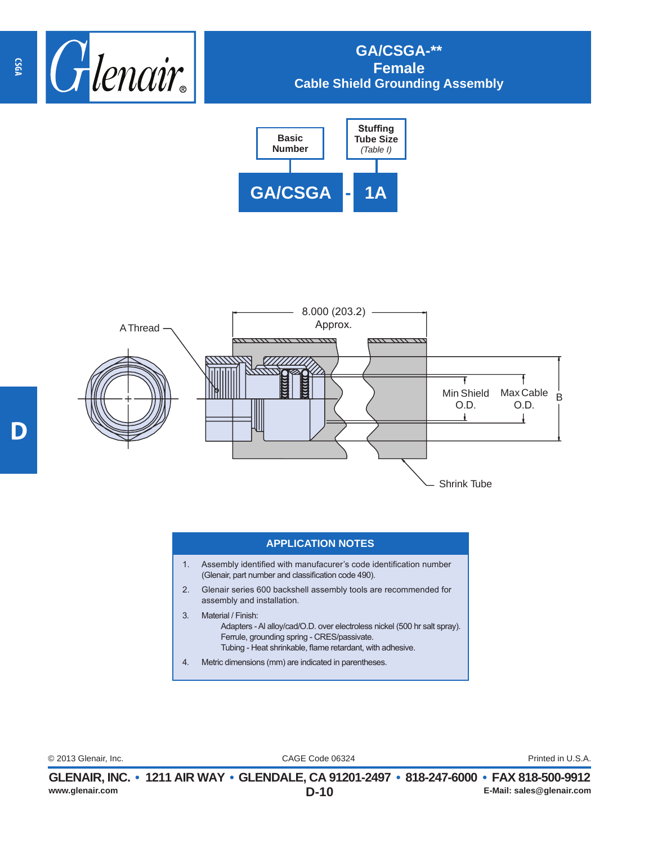





## **APPLICATION NOTES**

- 1. Assembly identified with manufacurer's code identification number (Glenair, part number and classification code 490).
- 2. Glenair series 600 backshell assembly tools are recommended for assembly and installation.
- 3. Material / Finish:

Adapters - Al alloy/cad/O.D. over electroless nickel (500 hr salt spray). Ferrule, grounding spring - CRES/passivate. Tubing - Heat shrinkable, flame retardant, with adhesive.

4. Metric dimensions (mm) are indicated in parentheses.

CAGE Code 06324 © 2013 Glenair, Inc. Printed in U.S.A.